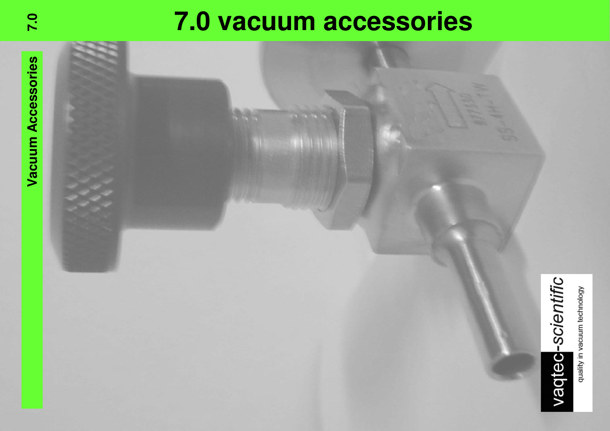# **7.0 vacuum accessories**

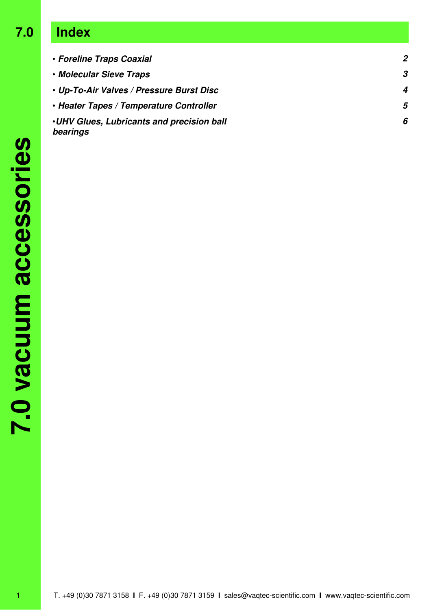## **7.0 Index**

| • Foreline Traps Coaxial                                     | $\mathbf{2}$ |
|--------------------------------------------------------------|--------------|
| • Molecular Sieve Traps                                      | 3            |
| • Up-To-Air Valves / Pressure Burst Disc                     | 4            |
| • Heater Tapes / Temperature Controller                      | 5            |
| <b>.UHV Glues, Lubricants and precision ball</b><br>bearings | 6            |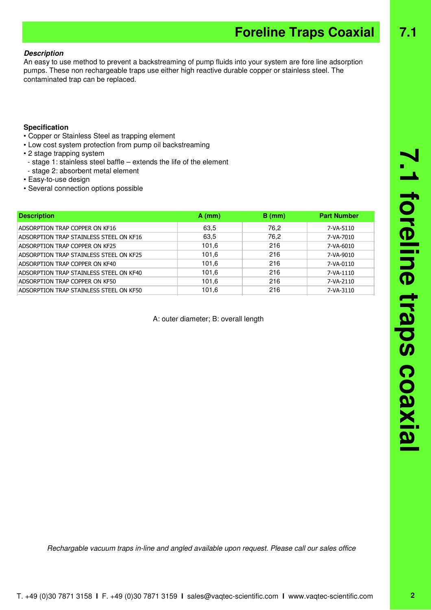# T. +49 (0)30 7871 3158 **I** F. +49 (0)30 7871 3159 **I** sales@vaqtec-scientific.com **I** www.vaqtec-scientific.com

## **Foreline Traps Coaxial 7.1**

### **Description**

An easy to use method to prevent a backstreaming of pump fluids into your system are fore line adsorption pumps. These non rechargeable traps use either high reactive durable copper or stainless steel. The contaminated trap can be replaced.

### **Specification**

- Copper or Stainless Steel as trapping element
- Low cost system protection from pump oil backstreaming
- 2 stage trapping system
	- stage 1: stainless steel baffle extends the life of the element
- stage 2: absorbent metal element
- Easy-to-use design
- Several connection options possible

| <b>Description</b>                      | $A$ (mm) | $B$ (mm) | <b>Part Number</b> |
|-----------------------------------------|----------|----------|--------------------|
| ADSORPTION TRAP COPPER ON KF16          | 63.5     | 76.2     | 7-VA-5110          |
| ADSORPTION TRAP STAINLESS STEEL ON KF16 | 63,5     | 76,2     | 7-VA-7010          |
| ADSORPTION TRAP COPPER ON KF25          | 101,6    | 216      | 7-VA-6010          |
| ADSORPTION TRAP STAINLESS STEEL ON KF25 | 101,6    | 216      | 7-VA-9010          |
| ADSORPTION TRAP COPPER ON KF40          | 101,6    | 216      | 7-VA-0110          |
| ADSORPTION TRAP STAINLESS STEEL ON KF40 | 101,6    | 216      | 7-VA-1110          |
| ADSORPTION TRAP COPPER ON KF50          | 101,6    | 216      | 7-VA-2110          |
| ADSORPTION TRAP STAINLESS STEEL ON KF50 | 101,6    | 216      | 7-VA-3110          |

A: outer diameter; B: overall length

Rechargable vacuum traps in-line and angled available upon request. Please call our sales office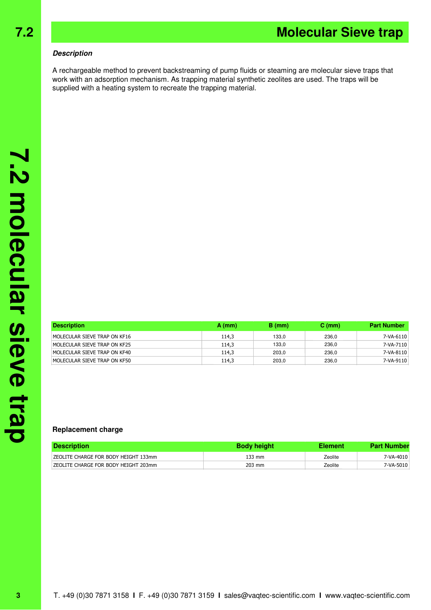### **Description**

A rechargeable method to prevent backstreaming of pump fluids or steaming are molecular sieve traps that work with an adsorption mechanism. As trapping material synthetic zeolites are used. The traps will be supplied with a heating system to recreate the trapping material.

| <b>Description</b>           | $A$ (mm) | B (mm) | $C \, (mm)$ | <b>Part Number</b> |
|------------------------------|----------|--------|-------------|--------------------|
| MOLECULAR SIEVE TRAP ON KF16 | 114.3    | 133.0  | 236.0       | 7-VA-6110          |
| MOLECULAR SIEVE TRAP ON KF25 | 114.3    | 133.0  | 236.0       | 7-VA-7110          |
| MOLECULAR SIEVE TRAP ON KF40 | 114.3    | 203,0  | 236.0       | 7-VA-8110          |
| MOLECULAR SIEVE TRAP ON KF50 | 114,3    | 203.0  | 236.0       | 7-VA-9110          |

### **Replacement charge**

| <b>Description</b>                    | <b>Body height</b> | Element | <b>Part Number</b> |
|---------------------------------------|--------------------|---------|--------------------|
| IZEOLITE CHARGE FOR BODY HEIGHT 133mm | 133 mm             | Zeolite | 7-VA-4010          |
| IZEOLITE CHARGE FOR BODY HEIGHT 203mm | 203 mm             | Zeolite | 7-VA-5010          |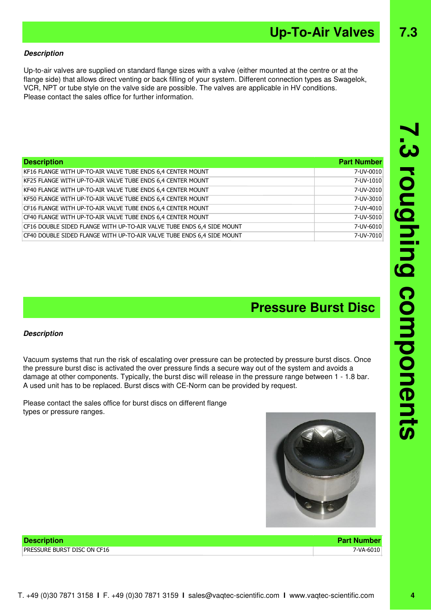**3 roughing components** 

### **Description**

Up-to-air valves are supplied on standard flange sizes with a valve (either mounted at the centre or at the flange side) that allows direct venting or back filling of your system. Different connection types as Swagelok, VCR, NPT or tube style on the valve side are possible. The valves are applicable in HV conditions. Please contact the sales office for further information.

| <b>Description</b>                                                     | <b>Part Number</b> |
|------------------------------------------------------------------------|--------------------|
| KF16 FLANGE WITH UP-TO-AIR VALVE TUBE ENDS 6,4 CENTER MOUNT            | 7-UV-0010          |
| KF25 FLANGE WITH UP-TO-AIR VALVE TUBE ENDS 6,4 CENTER MOUNT            | 7-UV-1010          |
| KF40 FLANGE WITH UP-TO-AIR VALVE TUBE ENDS 6,4 CENTER MOUNT            | 7-UV-2010          |
| KF50 FLANGE WITH UP-TO-AIR VALVE TUBE ENDS 6,4 CENTER MOUNT            | 7-UV-3010          |
| CF16 FLANGE WITH UP-TO-AIR VALVE TUBE ENDS 6,4 CENTER MOUNT            | 7-UV-4010          |
| CF40 FLANGE WITH UP-TO-AIR VALVE TUBE ENDS 6,4 CENTER MOUNT            | 7-UV-5010          |
| CF16 DOUBLE SIDED FLANGE WITH UP-TO-AIR VALVE TUBE ENDS 6,4 SIDE MOUNT | 7-UV-6010          |
| CF40 DOUBLE SIDED FLANGE WITH UP-TO-AIR VALVE TUBE ENDS 6,4 SIDE MOUNT | 7-UV-7010          |

### **Pressure Burst Disc**

#### **Description**

Vacuum systems that run the risk of escalating over pressure can be protected by pressure burst discs. Once the pressure burst disc is activated the over pressure finds a secure way out of the system and avoids a damage at other components. Typically, the burst disc will release in the pressure range between 1 - 1.8 bar. A used unit has to be replaced. Burst discs with CE-Norm can be provided by request.

Please contact the sales office for burst discs on different flange types or pressure ranges.



**Up-To-Air Valves 7.3**

**Description Part Number** PRESSURE BURST DISC ON CF16 7-VA-6010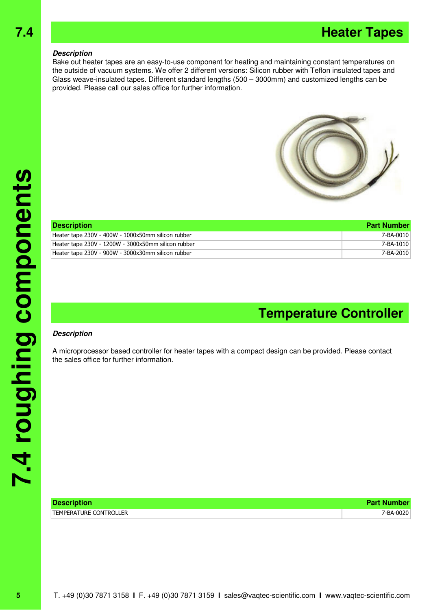### **7.4 Heater Tapes**

#### **Description**

Bake out heater tapes are an easy-to-use component for heating and maintaining constant temperatures on the outside of vacuum systems. We offer 2 different versions: Silicon rubber with Teflon insulated tapes and Glass weave-insulated tapes. Different standard lengths (500 – 3000mm) and customized lengths can be provided. Please call our sales office for further information.



| <b>Description</b>                                  | <b>Part Number</b> |
|-----------------------------------------------------|--------------------|
| Heater tape 230V - 400W - 1000x50mm silicon rubber  | 7-BA-0010          |
| Heater tape 230V - 1200W - 3000x50mm silicon rubber | 7-BA-1010          |
| Heater tape 230V - 900W - 3000x30mm silicon rubber  | 7-BA-2010          |

### **Temperature Controller**

#### **Description**

A microprocessor based controller for heater tapes with a compact design can be provided. Please contact the sales office for further information.

| <b>Description</b>            | <b>Part Number</b> |
|-------------------------------|--------------------|
| <b>TEMPERATURE CONTROLLER</b> | 7-BA-0020          |

**5**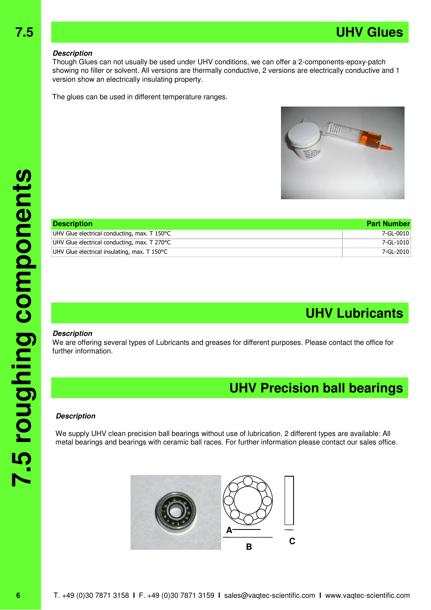### **Description**

Though Glues can not usually be used under UHV conditions, we can offer a 2-components-epoxy-patch showing no filler or solvent. All versions are thermally conductive, 2 versions are electrically conductive and 1 version show an electrically insulating property.

The glues can be used in different temperature ranges.



| <b>Description</b>                           | <b>Part Number</b> |
|----------------------------------------------|--------------------|
| UHV Glue electrical conducting, max. T 150°C | 7-GL-0010          |
| UHV Glue electrical conducting, max. T 270°C | 7-GL-1010          |
| UHV Glue electrical insulating, max. T 150°C | 7-GL-2010          |

### **UHV Lubricants**

#### **Description**

We are offering several types of Lubricants and greases for different purposes. Please contact the office for further information.

### **UHV Precision ball bearings**

#### **Description**

We supply UHV clean precision ball bearings without use of lubrication. 2 different types are available: All metal bearings and bearings with ceramic ball races. For further information please contact our sales office.



**6**